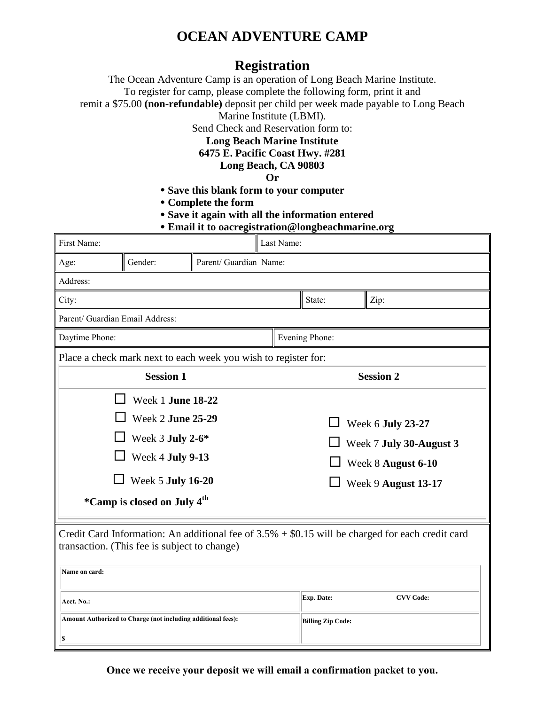## **OCEAN ADVENTURE CAMP**

### **Registration**

The Ocean Adventure Camp is an operation of Long Beach Marine Institute. To register for camp, please complete the following form, print it and

remit a \$75.00 **(non-refundable)** deposit per child per week made payable to Long Beach

Marine Institute (LBMI).

Send Check and Reservation form to:

#### **Long Beach Marine Institute**

**6475 E. Pacific Coast Hwy. #281**

**Long Beach, CA 90803**

#### **Or**

- **Save this blank form to your computer**
- **Complete the form**
- **Save it again with all the information entered**

|  |  | <b>• Email it to oacregistration@longbeachmarine.org</b> |
|--|--|----------------------------------------------------------|
|  |  |                                                          |

| First Name:                                                                                                                                                        |                                      |  | Last Name:             |                                               |                  |  |  |  |  |
|--------------------------------------------------------------------------------------------------------------------------------------------------------------------|--------------------------------------|--|------------------------|-----------------------------------------------|------------------|--|--|--|--|
| Age:                                                                                                                                                               | Gender:                              |  | Parent/ Guardian Name: |                                               |                  |  |  |  |  |
| Address:                                                                                                                                                           |                                      |  |                        |                                               |                  |  |  |  |  |
| City:                                                                                                                                                              |                                      |  |                        | State:                                        | Zip:             |  |  |  |  |
| Parent/ Guardian Email Address:                                                                                                                                    |                                      |  |                        |                                               |                  |  |  |  |  |
| Daytime Phone:                                                                                                                                                     |                                      |  |                        | Evening Phone:                                |                  |  |  |  |  |
| Place a check mark next to each week you wish to register for:                                                                                                     |                                      |  |                        |                                               |                  |  |  |  |  |
| <b>Session 1</b>                                                                                                                                                   |                                      |  |                        | <b>Session 2</b>                              |                  |  |  |  |  |
| Week 1 June 18-22                                                                                                                                                  |                                      |  |                        |                                               |                  |  |  |  |  |
|                                                                                                                                                                    | Week 2 June 25-29                    |  |                        | Week 6 July 23-27                             |                  |  |  |  |  |
|                                                                                                                                                                    | Week 3 July 2-6*<br>Week 4 July 9-13 |  |                        | Week 7 July 30-August 3<br>Week 8 August 6-10 |                  |  |  |  |  |
|                                                                                                                                                                    |                                      |  |                        |                                               |                  |  |  |  |  |
| Week 5 July 16-20                                                                                                                                                  |                                      |  |                        | Week 9 August 13-17                           |                  |  |  |  |  |
| <i>*</i> Camp is closed on July 4 <sup>th</sup>                                                                                                                    |                                      |  |                        |                                               |                  |  |  |  |  |
| Credit Card Information: An additional fee of $3.5% + $0.15$ will be charged for each credit card<br>transaction. (This fee is subject to change)<br>Name on card: |                                      |  |                        |                                               |                  |  |  |  |  |
|                                                                                                                                                                    |                                      |  |                        |                                               |                  |  |  |  |  |
| Acct. No.:                                                                                                                                                         |                                      |  |                        | Exp. Date:                                    | <b>CVV Code:</b> |  |  |  |  |
| Amount Authorized to Charge (not including additional fees):                                                                                                       |                                      |  |                        | <b>Billing Zip Code:</b>                      |                  |  |  |  |  |
| S                                                                                                                                                                  |                                      |  |                        |                                               |                  |  |  |  |  |

**Once we receive your deposit we will email a confirmation packet to you.**